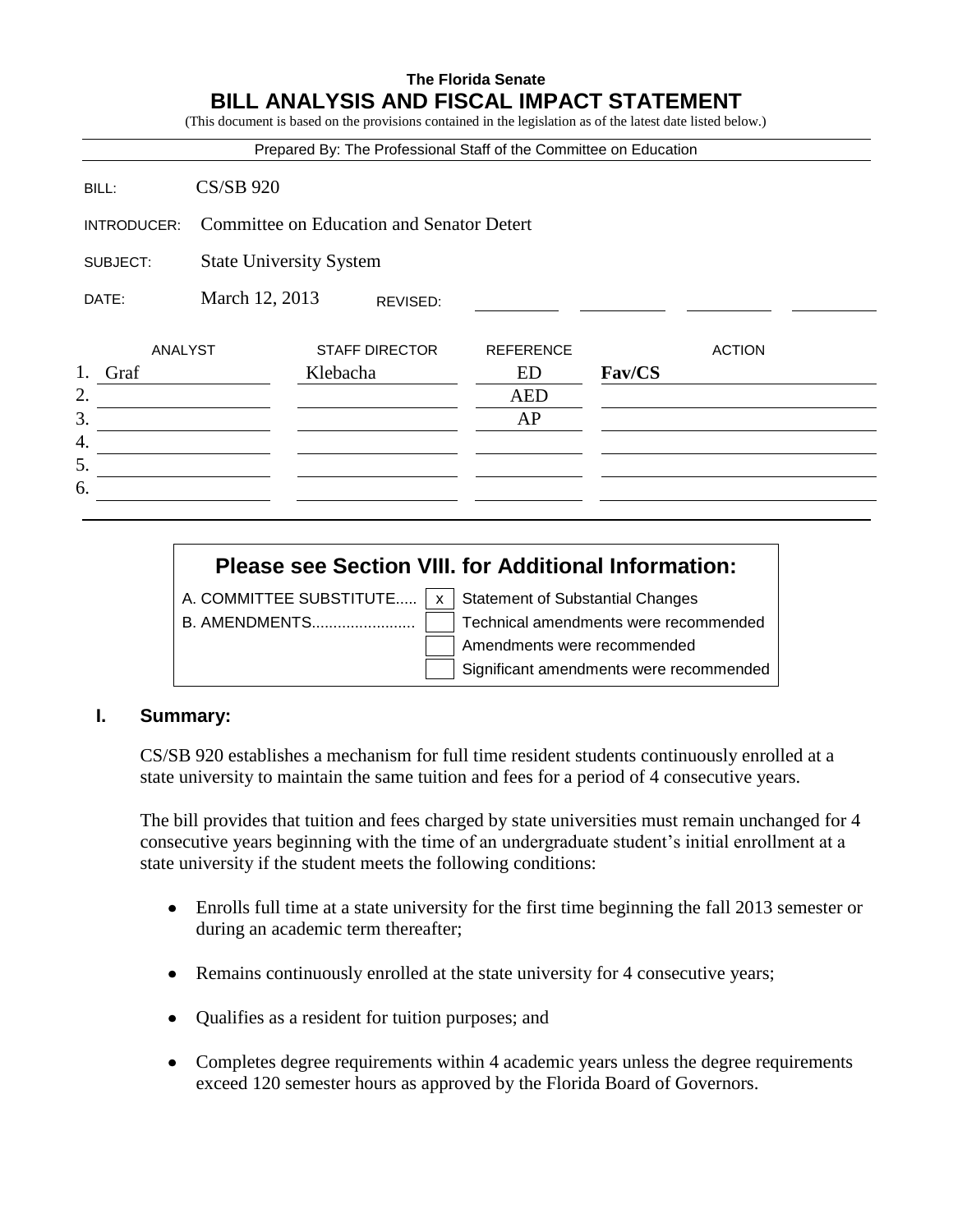## **The Florida Senate BILL ANALYSIS AND FISCAL IMPACT STATEMENT**

(This document is based on the provisions contained in the legislation as of the latest date listed below.)

|             |                                           | Prepared By: The Professional Staff of the Committee on Education |                  |        |               |  |
|-------------|-------------------------------------------|-------------------------------------------------------------------|------------------|--------|---------------|--|
| BILL:       | <b>CS/SB 920</b>                          |                                                                   |                  |        |               |  |
| INTRODUCER: | Committee on Education and Senator Detert |                                                                   |                  |        |               |  |
| SUBJECT:    | <b>State University System</b>            |                                                                   |                  |        |               |  |
| DATE:       | March 12, 2013                            | REVISED:                                                          |                  |        |               |  |
| ANALYST     |                                           | <b>STAFF DIRECTOR</b>                                             | <b>REFERENCE</b> |        | <b>ACTION</b> |  |
| 1.<br>Graf  | Klebacha                                  |                                                                   | <b>ED</b>        | Fav/CS |               |  |
| 2.<br>3.    |                                           |                                                                   | <b>AED</b><br>AP |        |               |  |
| 4.          |                                           |                                                                   |                  |        |               |  |
| 5.          |                                           |                                                                   |                  |        |               |  |
| 6.          |                                           |                                                                   |                  |        |               |  |

# **Please see Section VIII. for Additional Information:**

A. COMMITTEE SUBSTITUTE.....  $x \mid x$  Statement of Substantial Changes

B. AMENDMENTS........................ Technical amendments were recommended Amendments were recommended Significant amendments were recommended

#### **I. Summary:**

CS/SB 920 establishes a mechanism for full time resident students continuously enrolled at a state university to maintain the same tuition and fees for a period of 4 consecutive years.

The bill provides that tuition and fees charged by state universities must remain unchanged for 4 consecutive years beginning with the time of an undergraduate student's initial enrollment at a state university if the student meets the following conditions:

- Enrolls full time at a state university for the first time beginning the fall 2013 semester or during an academic term thereafter;
- Remains continuously enrolled at the state university for 4 consecutive years;
- Qualifies as a resident for tuition purposes; and
- Completes degree requirements within 4 academic years unless the degree requirements exceed 120 semester hours as approved by the Florida Board of Governors.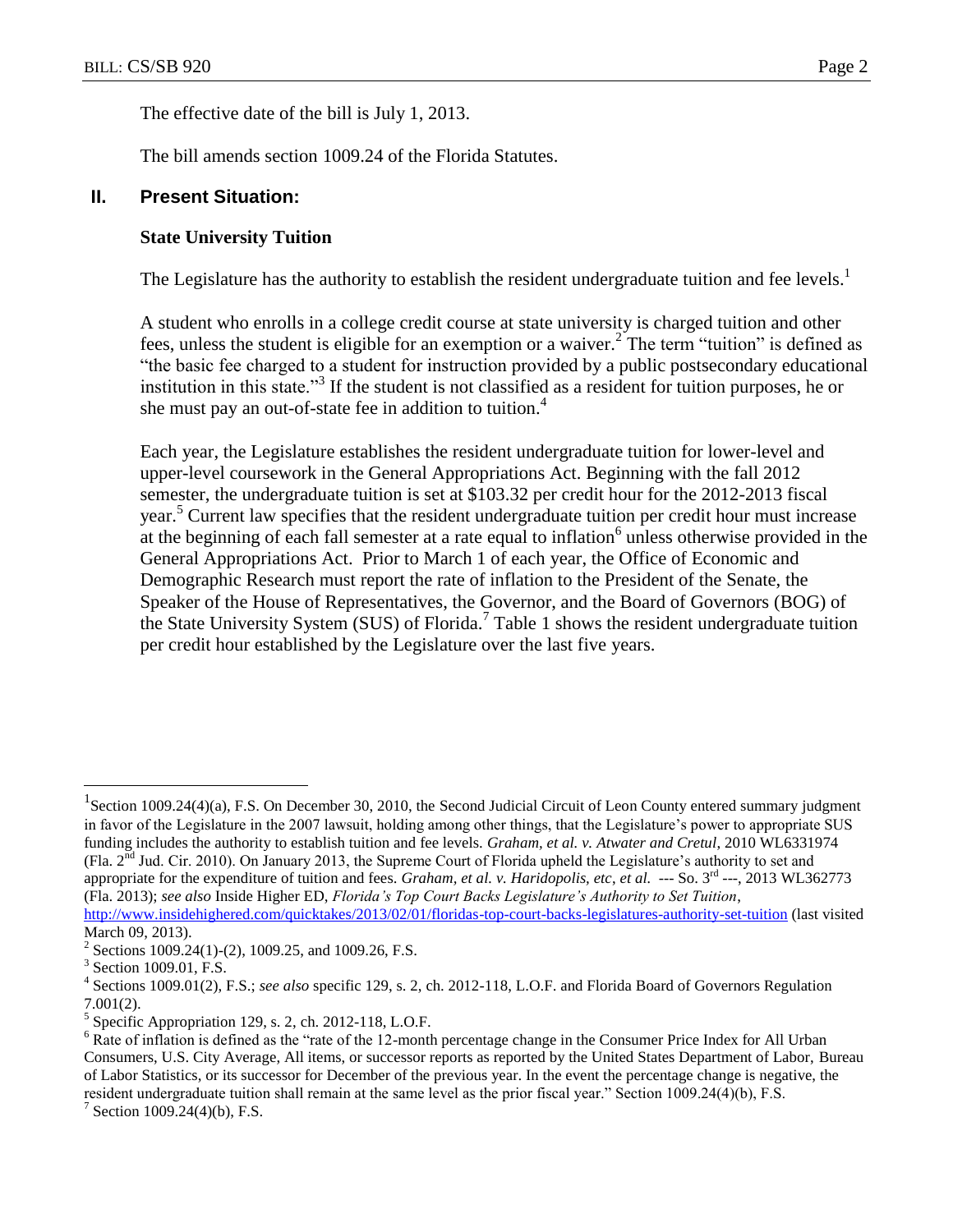The effective date of the bill is July 1, 2013.

The bill amends section 1009.24 of the Florida Statutes.

#### **II. Present Situation:**

#### **State University Tuition**

The Legislature has the authority to establish the resident undergraduate tuition and fee levels.<sup>1</sup>

A student who enrolls in a college credit course at state university is charged tuition and other fees, unless the student is eligible for an exemption or a waiver.<sup>2</sup> The term "tuition" is defined as "the basic fee charged to a student for instruction provided by a public postsecondary educational institution in this state."<sup>3</sup> If the student is not classified as a resident for tuition purposes, he or she must pay an out-of-state fee in addition to tuition.<sup>4</sup>

Each year, the Legislature establishes the resident undergraduate tuition for lower-level and upper-level coursework in the General Appropriations Act. Beginning with the fall 2012 semester, the undergraduate tuition is set at \$103.32 per credit hour for the 2012-2013 fiscal year. <sup>5</sup> Current law specifies that the resident undergraduate tuition per credit hour must increase at the beginning of each fall semester at a rate equal to inflation<sup>6</sup> unless otherwise provided in the General Appropriations Act. Prior to March 1 of each year, the Office of Economic and Demographic Research must report the rate of inflation to the President of the Senate, the Speaker of the House of Representatives, the Governor, and the Board of Governors (BOG) of the State University System (SUS) of Florida. 7 Table 1 shows the resident undergraduate tuition per credit hour established by the Legislature over the last five years.

 $\overline{a}$ 

<sup>7</sup> Section 1009.24(4)(b), F.S.

<sup>&</sup>lt;sup>1</sup> Section 1009.24(4)(a), F.S. On December 30, 2010, the Second Judicial Circuit of Leon County entered summary judgment in favor of the Legislature in the 2007 lawsuit, holding among other things, that the Legislature's power to appropriate SUS funding includes the authority to establish tuition and fee levels. *Graham, et al. v. Atwater and Cretul*, 2010 WL6331974 (Fla.  $2<sup>nd</sup>$  Jud. Cir. 2010). On January 2013, the Supreme Court of Florida upheld the Legislature's authority to set and appropriate for the expenditure of tuition and fees. *Graham, et al. v. Haridopolis, etc, et al.* --- So. 3<sup>rd</sup> ---, 2013 WL362773 (Fla. 2013); *see also* Inside Higher ED, *Florida's Top Court Backs Legislature's Authority to Set Tuition*, <http://www.insidehighered.com/quicktakes/2013/02/01/floridas-top-court-backs-legislatures-authority-set-tuition> (last visited March 09, 2013).

<sup>&</sup>lt;sup>2</sup> Sections 1009.24(1)-(2), 1009.25, and 1009.26, F.S.

<sup>&</sup>lt;sup>3</sup> Section 1009.01, F.S.

<sup>4</sup> Sections 1009.01(2), F.S.; *see also* specific 129, s. 2, ch. 2012-118, L.O.F. and Florida Board of Governors Regulation 7.001(2).

<sup>&</sup>lt;sup>5</sup> Specific Appropriation 129, s. 2, ch. 2012-118, L.O.F.

 $6$  Rate of inflation is defined as the "rate of the 12-month percentage change in the Consumer Price Index for All Urban Consumers, U.S. City Average, All items, or successor reports as reported by the United States Department of Labor, Bureau of Labor Statistics, or its successor for December of the previous year. In the event the percentage change is negative, the resident undergraduate tuition shall remain at the same level as the prior fiscal year." Section 1009.24(4)(b), F.S.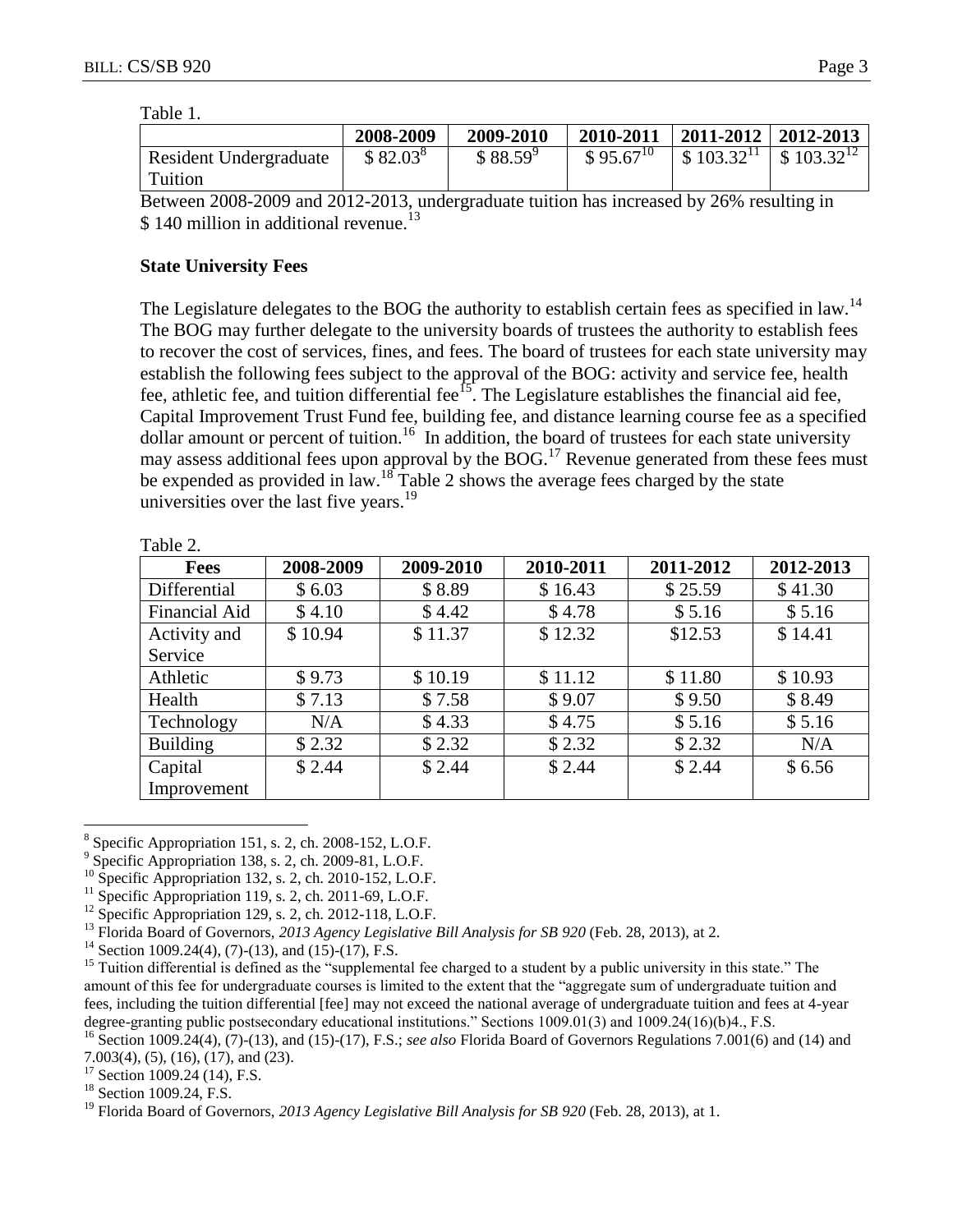| anı<br>١H |  |
|-----------|--|
|           |  |

|                        | 2008-2009  | 2009-2010  | 2010-2011     | $ 2011-2012 2012-2013$ |                                       |
|------------------------|------------|------------|---------------|------------------------|---------------------------------------|
| Resident Undergraduate | $$82.03^8$ | $$88.59^9$ | $$95.67^{10}$ | \$103.32 <sup>11</sup> | $\frac{1}{2}$ \$ 103.32 <sup>12</sup> |
| Tuition                |            |            |               |                        |                                       |

Between 2008-2009 and 2012-2013, undergraduate tuition has increased by 26% resulting in \$140 million in additional revenue.<sup>13</sup>

### **State University Fees**

The Legislature delegates to the BOG the authority to establish certain fees as specified in law.<sup>14</sup> The BOG may further delegate to the university boards of trustees the authority to establish fees to recover the cost of services, fines, and fees. The board of trustees for each state university may establish the following fees subject to the approval of the BOG: activity and service fee, health fee, athletic fee, and tuition differential fee<sup>15</sup>. The Legislature establishes the financial aid fee, Capital Improvement Trust Fund fee, building fee, and distance learning course fee as a specified dollar amount or percent of tuition.<sup>16</sup> In addition, the board of trustees for each state university may assess additional fees upon approval by the BOG.<sup>17</sup> Revenue generated from these fees must be expended as provided in law.<sup>18</sup> Table 2 shows the average fees charged by the state universities over the last five years.<sup>19</sup>

| <b>Fees</b>     | 2008-2009 | 2009-2010 | 2010-2011 | 2011-2012 | 2012-2013 |
|-----------------|-----------|-----------|-----------|-----------|-----------|
| Differential    | \$6.03    | \$8.89    | \$16.43   | \$25.59   | \$41.30   |
| Financial Aid   | \$4.10    | \$4.42    | \$4.78    | \$5.16    | \$5.16    |
| Activity and    | \$10.94   | \$11.37   | \$12.32   | \$12.53   | \$14.41   |
| Service         |           |           |           |           |           |
| Athletic        | \$9.73    | \$10.19   | \$11.12   | \$11.80   | \$10.93   |
| Health          | \$7.13    | \$7.58    | \$9.07    | \$9.50    | \$8.49    |
| Technology      | N/A       | \$4.33    | \$4.75    | \$5.16    | \$5.16    |
| <b>Building</b> | \$2.32    | \$2.32    | \$2.32    | \$2.32    | N/A       |
| Capital         | \$2.44    | \$2.44    | \$2.44    | \$2.44    | \$6.56    |
| Improvement     |           |           |           |           |           |

Table 2.

 $\overline{a}$  $8$  Specific Appropriation 151, s. 2, ch. 2008-152, L.O.F.

<sup>11</sup> Specific Appropriation 119, s. 2, ch. 2011-69, L.O.F.

<sup>17</sup> Section 1009.24 (14), F.S.

<sup>18</sup> Section 1009.24, F.S.

<sup>9</sup> Specific Appropriation 138, s. 2, ch. 2009-81, L.O.F.

 $^{10}$  Specific Appropriation 132, s. 2, ch. 2010-152, L.O.F.

 $12$  Specific Appropriation 129, s. 2, ch. 2012-118, L.O.F.

<sup>13</sup> Florida Board of Governors, *2013 Agency Legislative Bill Analysis for SB 920* (Feb. 28, 2013), at 2.

<sup>&</sup>lt;sup>14</sup> Section 1009.24(4), (7)-(13), and (15)-(17), F.S.

<sup>&</sup>lt;sup>15</sup> Tuition differential is defined as the "supplemental fee charged to a student by a public university in this state." The amount of this fee for undergraduate courses is limited to the extent that the "aggregate sum of undergraduate tuition and fees, including the tuition differential [fee] may not exceed the national average of undergraduate tuition and fees at 4-year degree-granting public postsecondary educational institutions." Sections 1009.01(3) and 1009.24(16)(b)4., F.S.

<sup>16</sup> Section 1009.24(4), (7)-(13), and (15)-(17), F.S.; *see also* Florida Board of Governors Regulations 7.001(6) and (14) and 7.003(4), (5), (16), (17), and (23).

<sup>&</sup>lt;sup>19</sup> Florida Board of Governors, 2013 Agency Legislative Bill Analysis for SB 920 (Feb. 28, 2013), at 1.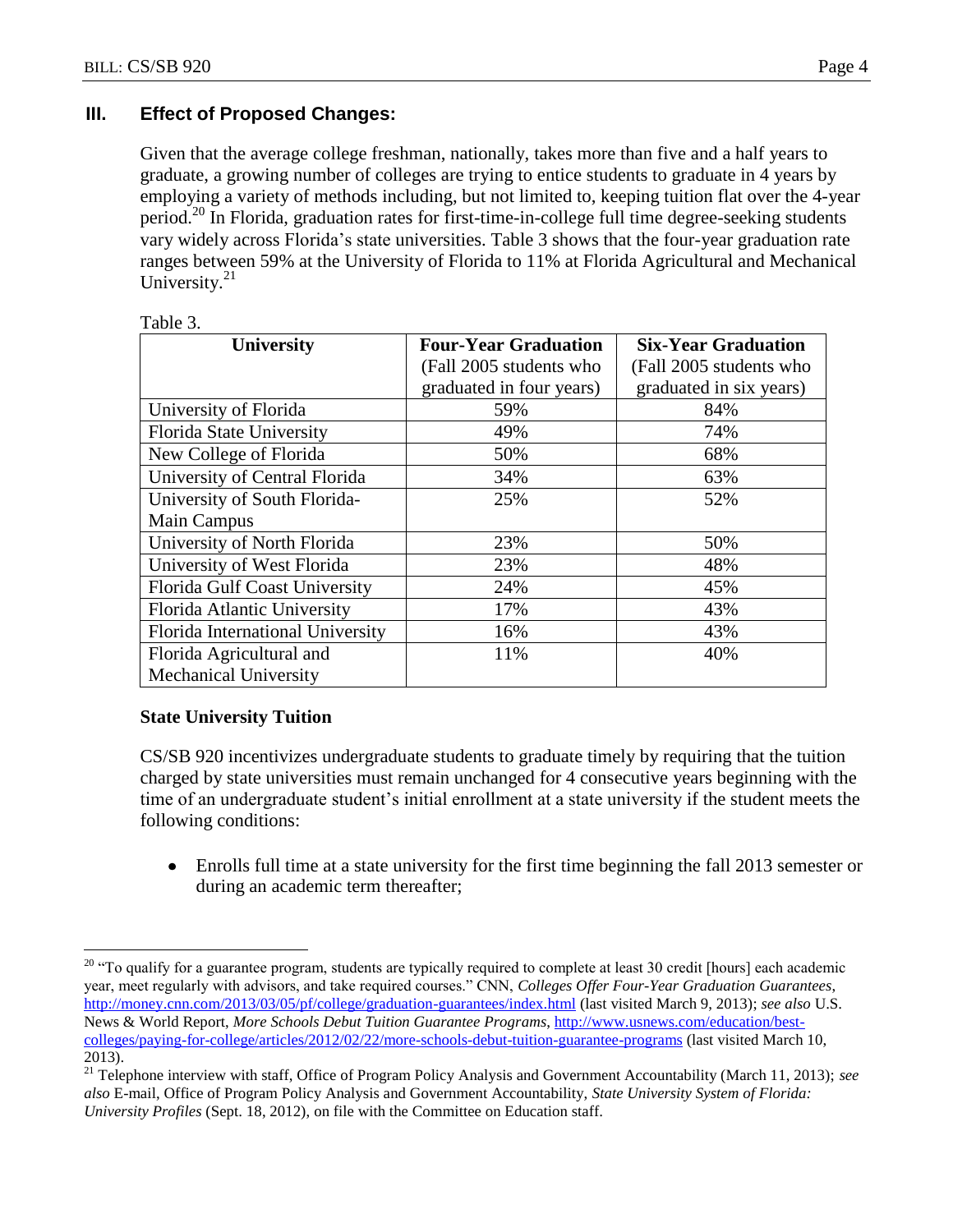## **III. Effect of Proposed Changes:**

Given that the average college freshman, nationally, takes more than five and a half years to graduate, a growing number of colleges are trying to entice students to graduate in 4 years by employing a variety of methods including, but not limited to, keeping tuition flat over the 4-year period.<sup>20</sup> In Florida, graduation rates for first-time-in-college full time degree-seeking students vary widely across Florida's state universities. Table 3 shows that the four-year graduation rate ranges between 59% at the University of Florida to 11% at Florida Agricultural and Mechanical University.<sup>21</sup>

| <b>University</b>                | <b>Four-Year Graduation</b> | <b>Six-Year Graduation</b> |  |
|----------------------------------|-----------------------------|----------------------------|--|
|                                  | (Fall 2005 students who     | (Fall 2005 students who    |  |
|                                  | graduated in four years)    | graduated in six years)    |  |
| University of Florida            | 59%                         | 84%                        |  |
| Florida State University         | 49%                         | 74%                        |  |
| New College of Florida           | 50%                         | 68%                        |  |
| University of Central Florida    | 34%                         | 63%                        |  |
| University of South Florida-     | 25%                         | 52%                        |  |
| Main Campus                      |                             |                            |  |
| University of North Florida      | 23%                         | 50%                        |  |
| University of West Florida       | 23%                         | 48%                        |  |
| Florida Gulf Coast University    | 24%                         | 45%                        |  |
| Florida Atlantic University      | 17%                         | 43%                        |  |
| Florida International University | 16%                         | 43%                        |  |
| Florida Agricultural and         | 11%                         | 40%                        |  |
| <b>Mechanical University</b>     |                             |                            |  |

|--|

## **State University Tuition**

 $\overline{a}$ 

CS/SB 920 incentivizes undergraduate students to graduate timely by requiring that the tuition charged by state universities must remain unchanged for 4 consecutive years beginning with the time of an undergraduate student's initial enrollment at a state university if the student meets the following conditions:

Enrolls full time at a state university for the first time beginning the fall 2013 semester or during an academic term thereafter;

<sup>&</sup>lt;sup>20</sup> "To qualify for a guarantee program, students are typically required to complete at least 30 credit [hours] each academic year, meet regularly with advisors, and take required courses." CNN, *Colleges Offer Four-Year Graduation Guarantees*, <http://money.cnn.com/2013/03/05/pf/college/graduation-guarantees/index.html> (last visited March 9, 2013); *see also* U.S. News & World Report, *More Schools Debut Tuition Guarantee Programs*, [http://www.usnews.com/education/best](http://www.usnews.com/education/best-colleges/paying-for-college/articles/2012/02/22/more-schools-debut-tuition-guarantee-programs)[colleges/paying-for-college/articles/2012/02/22/more-schools-debut-tuition-guarantee-programs](http://www.usnews.com/education/best-colleges/paying-for-college/articles/2012/02/22/more-schools-debut-tuition-guarantee-programs) (last visited March 10, 2013).

<sup>21</sup> Telephone interview with staff, Office of Program Policy Analysis and Government Accountability (March 11, 2013); *see also* E-mail, Office of Program Policy Analysis and Government Accountability, *State University System of Florida: University Profiles* (Sept. 18, 2012), on file with the Committee on Education staff.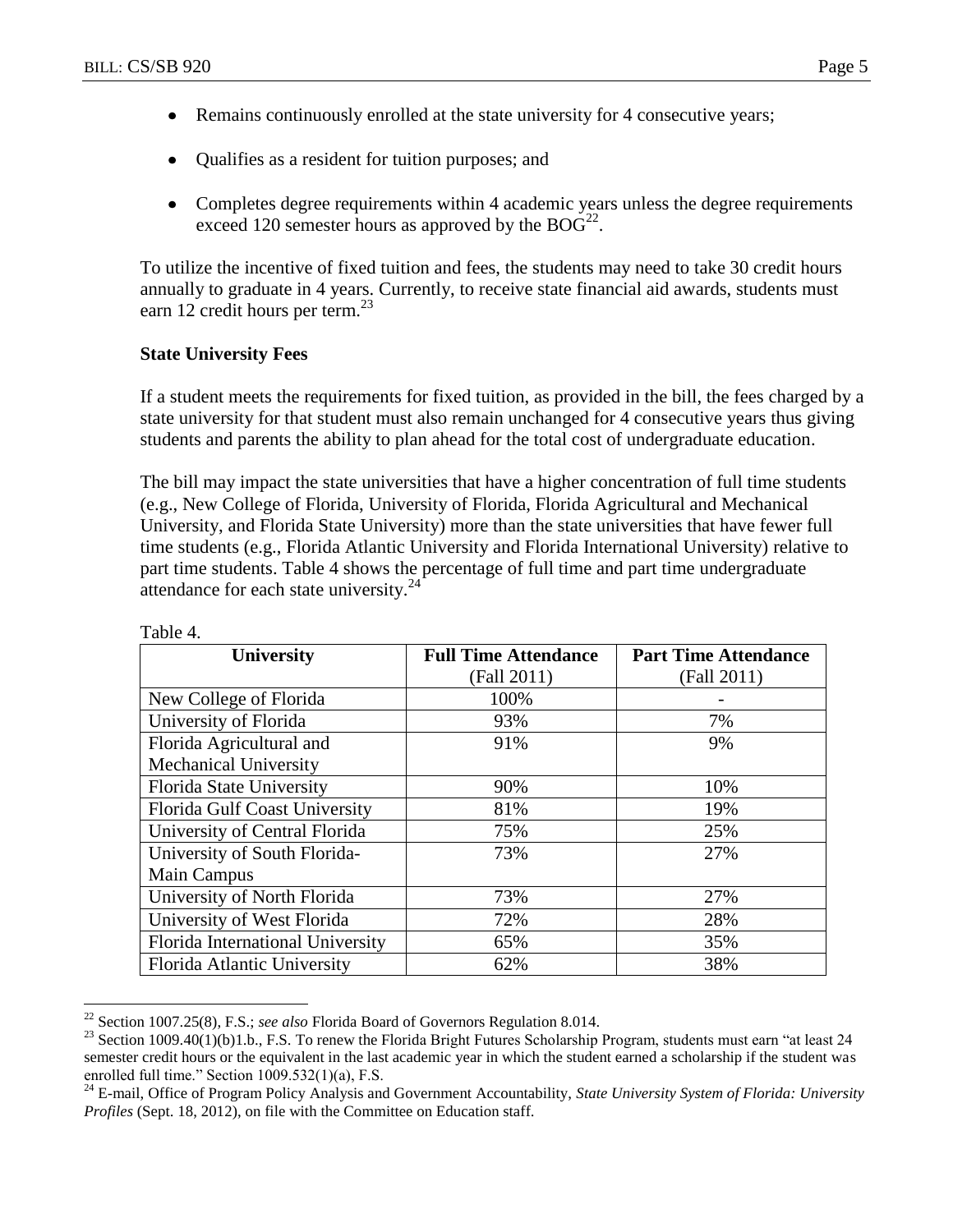- Remains continuously enrolled at the state university for 4 consecutive years;  $\bullet$
- Qualifies as a resident for tuition purposes; and  $\bullet$
- Completes degree requirements within 4 academic years unless the degree requirements exceed 120 semester hours as approved by the  $BOG^{22}$ .

To utilize the incentive of fixed tuition and fees, the students may need to take 30 credit hours annually to graduate in 4 years. Currently, to receive state financial aid awards, students must earn 12 credit hours per term.<sup>23</sup>

#### **State University Fees**

If a student meets the requirements for fixed tuition, as provided in the bill, the fees charged by a state university for that student must also remain unchanged for 4 consecutive years thus giving students and parents the ability to plan ahead for the total cost of undergraduate education.

The bill may impact the state universities that have a higher concentration of full time students (e.g., New College of Florida, University of Florida, Florida Agricultural and Mechanical University, and Florida State University) more than the state universities that have fewer full time students (e.g., Florida Atlantic University and Florida International University) relative to part time students. Table 4 shows the percentage of full time and part time undergraduate attendance for each state university.<sup>24</sup>

| <b>University</b>                | <b>Full Time Attendance</b> | <b>Part Time Attendance</b> |
|----------------------------------|-----------------------------|-----------------------------|
|                                  | (Fall 2011)                 | (Fall 2011)                 |
| New College of Florida           | 100%                        |                             |
| University of Florida            | 93%                         | 7%                          |
| Florida Agricultural and         | 91%                         | 9%                          |
| <b>Mechanical University</b>     |                             |                             |
| Florida State University         | 90%                         | 10%                         |
| Florida Gulf Coast University    | 81%                         | 19%                         |
| University of Central Florida    | 75%                         | 25%                         |
| University of South Florida-     | 73%                         | 27%                         |
| Main Campus                      |                             |                             |
| University of North Florida      | 73%                         | 27%                         |
| University of West Florida       | 72%                         | 28%                         |
| Florida International University | 65%                         | 35%                         |
| Florida Atlantic University      | 62%                         | 38%                         |

Table 4.

 $\overline{a}$ 

<sup>22</sup> Section 1007.25(8), F.S.; *see also* Florida Board of Governors Regulation 8.014.

 $^{23}$  Section 1009.40(1)(b)1.b., F.S. To renew the Florida Bright Futures Scholarship Program, students must earn "at least 24 semester credit hours or the equivalent in the last academic year in which the student earned a scholarship if the student was enrolled full time." Section 1009.532(1)(a), F.S.

<sup>24</sup> E-mail, Office of Program Policy Analysis and Government Accountability, *State University System of Florida: University Profiles* (Sept. 18, 2012), on file with the Committee on Education staff.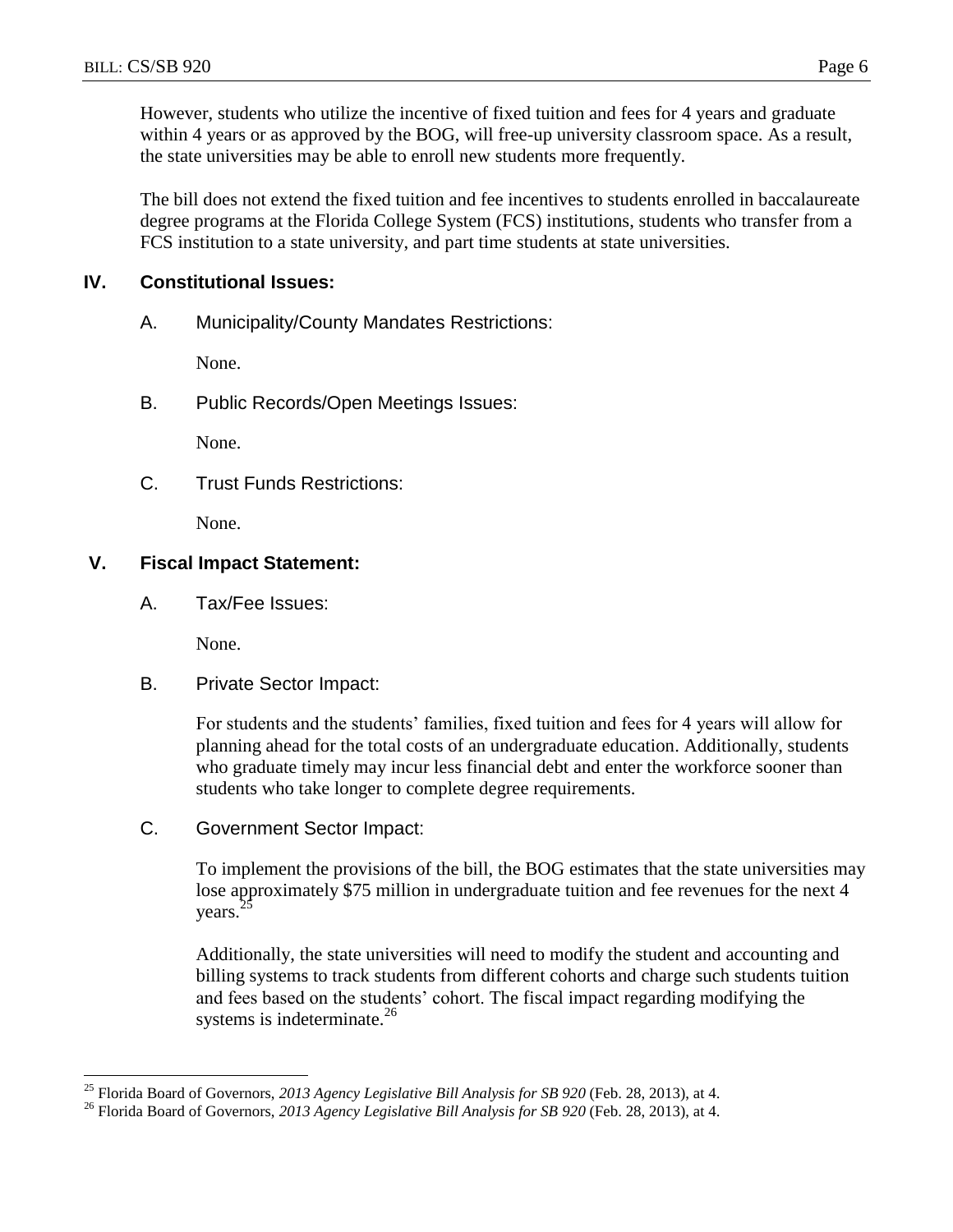However, students who utilize the incentive of fixed tuition and fees for 4 years and graduate within 4 years or as approved by the BOG, will free-up university classroom space. As a result, the state universities may be able to enroll new students more frequently.

The bill does not extend the fixed tuition and fee incentives to students enrolled in baccalaureate degree programs at the Florida College System (FCS) institutions, students who transfer from a FCS institution to a state university, and part time students at state universities.

## **IV. Constitutional Issues:**

A. Municipality/County Mandates Restrictions:

None.

B. Public Records/Open Meetings Issues:

None.

C. Trust Funds Restrictions:

None.

### **V. Fiscal Impact Statement:**

A. Tax/Fee Issues:

None.

 $\overline{a}$ 

B. Private Sector Impact:

For students and the students' families, fixed tuition and fees for 4 years will allow for planning ahead for the total costs of an undergraduate education. Additionally, students who graduate timely may incur less financial debt and enter the workforce sooner than students who take longer to complete degree requirements.

C. Government Sector Impact:

To implement the provisions of the bill, the BOG estimates that the state universities may lose approximately \$75 million in undergraduate tuition and fee revenues for the next 4 years.<sup>2</sup>

Additionally, the state universities will need to modify the student and accounting and billing systems to track students from different cohorts and charge such students tuition and fees based on the students' cohort. The fiscal impact regarding modifying the systems is indeterminate.<sup>26</sup>

<sup>25</sup> Florida Board of Governors, *2013 Agency Legislative Bill Analysis for SB 920* (Feb. 28, 2013), at 4.

<sup>&</sup>lt;sup>26</sup> Florida Board of Governors, 2013 Agency Legislative Bill Analysis for SB 920 (Feb. 28, 2013), at 4.